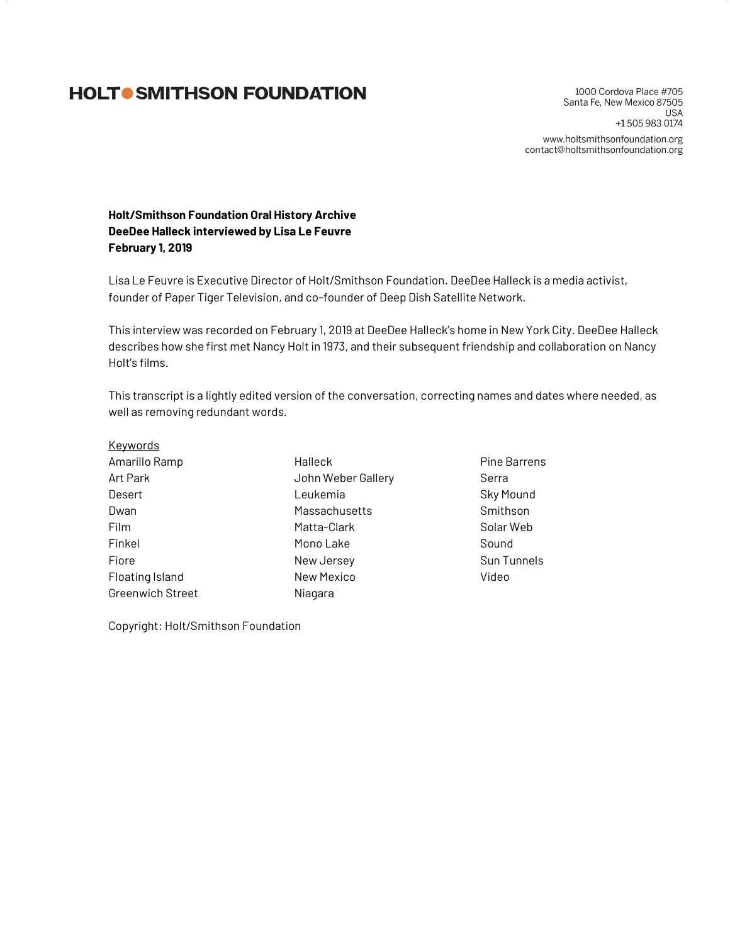# **HOLTO SMITHSON FOUNDATION**

1000 Cordova Place #705 Santa Fe, New Mexico 87505 **USA** +1 505 983 0174 www.holtsmithsonfoundation.org contact@holtsmithsonfoundation.org

**Holt/Smithson Foundation Oral History Archive DeeDee Halleck interviewed by Lisa Le Feuvre February 1, 2019**

Lisa Le Feuvre is Executive Director of Holt/Smithson Foundation. DeeDee Halleck is a media activist, founder of Paper Tiger Television, and co-founder of Deep Dish Satellite Network.

This interview was recorded on February 1, 2019 at DeeDee Halleck's home in New York City. DeeDee Halleck describes how she first met Nancy Holt in 1973, and their subsequent friendship and collaboration on Nancy Holt's films.

This transcript is a lightly edited version of the conversation, correcting names and dates where needed, as well as removing redundant words.

- **Keywords** Amarillo Ramp Art Park Desert Dwan Film Finkel Fiore Floating Island Greenwich Street Halleck John Weber Gallery Leukemia **Massachusetts** Matta-Clark Mono Lake New Jersey New Mexico Niagara
	-
- Pine Barrens Serra Sky Mound Smithson Solar Web Sound Sun Tunnels Video

Copyright: Holt/Smithson Foundation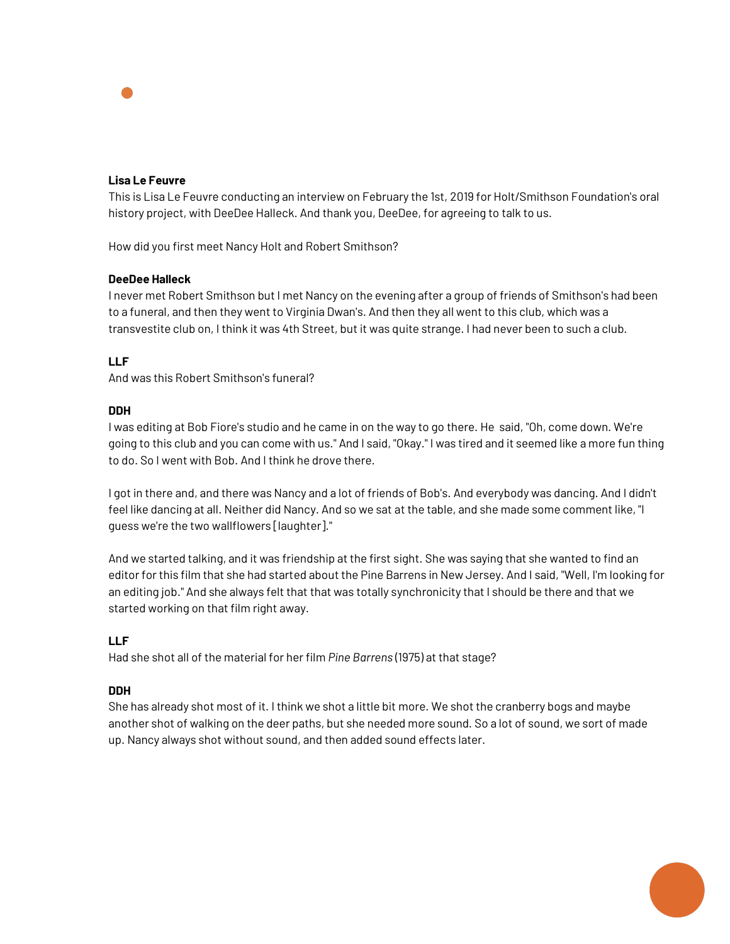## **Lisa Le Feuvre**

This is Lisa Le Feuvre conducting an interview on February the 1st, 2019 for Holt/Smithson Foundation's oral history project, with DeeDee Halleck. And thank you, DeeDee, for agreeing to talk to us.

How did you first meet Nancy Holt and Robert Smithson?

## **DeeDee Halleck**

I never met Robert Smithson but I met Nancy on the evening after a group of friends of Smithson's had been to a funeral, and then they went to Virginia Dwan's. And then they all went to this club, which was a transvestite club on, I think it was 4th Street, but it was quite strange. I had never been to such a club.

## **LLF**

And was this Robert Smithson's funeral?

## **DDH**

I was editing at Bob Fiore's studio and he came in on the way to go there. He said, "Oh, come down. We're going to this club and you can come with us." And I said, "Okay." I was tired and it seemed like a more fun thing to do. So I went with Bob. And I think he drove there.

I got in there and, and there was Nancy and a lot of friends of Bob's. And everybody was dancing. And I didn't feel like dancing at all. Neither did Nancy. And so we sat at the table, and she made some comment like, "I guess we're the two wallflowers [laughter]."

And we started talking, and it was friendship at the first sight. She was saying that she wanted to find an editor for this film that she had started about the Pine Barrens in New Jersey. And I said, "Well, I'm looking for an editing job." And she always felt that that was totally synchronicity that I should be there and that we started working on that film right away.

#### **LLF**

Had she shot all of the material for her film *Pine Barrens* (1975) at that stage?

## **DDH**

She has already shot most of it. I think we shot a little bit more. We shot the cranberry bogs and maybe another shot of walking on the deer paths, but she needed more sound. So a lot of sound, we sort of made up. Nancy always shot without sound, and then added sound effects later.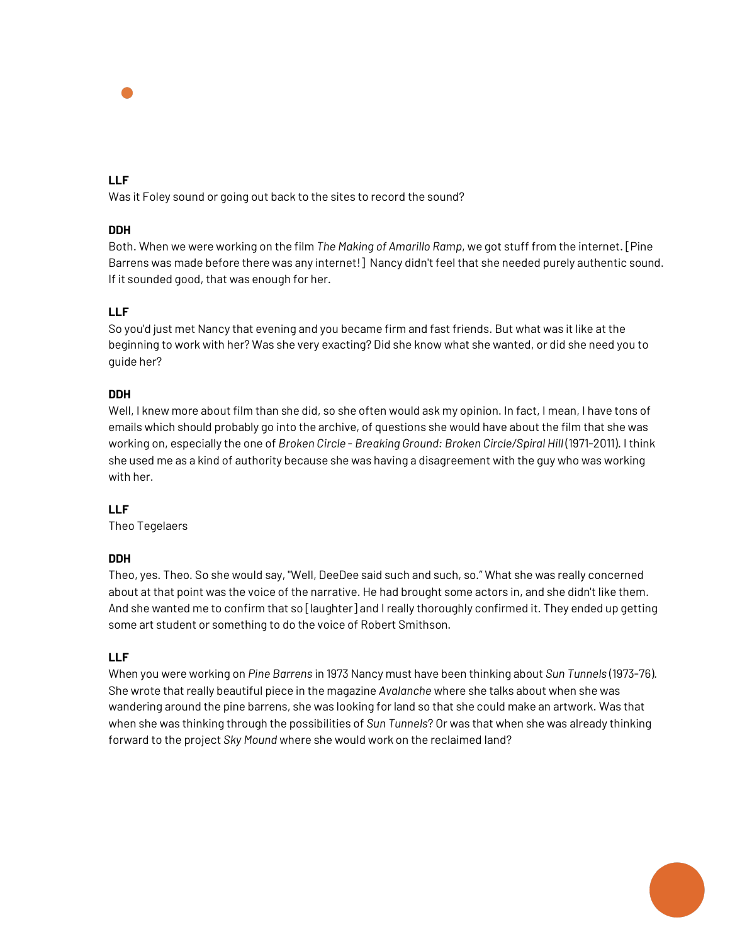## **LLF**

Was it Foley sound or going out back to the sites to record the sound?

## **DDH**

Both. When we were working on the film *The Making of Amarillo Ramp*, we got stuff from the internet. [Pine Barrens was made before there was any internet!] Nancy didn't feel that she needed purely authentic sound. If it sounded good, that was enough for her.

## **LLF**

So you'd just met Nancy that evening and you became firm and fast friends. But what was it like at the beginning to work with her? Was she very exacting? Did she know what she wanted, or did she need you to guide her?

## **DDH**

Well, I knew more about film than she did, so she often would ask my opinion. In fact, I mean, I have tons of emails which should probably go into the archive, of questions she would have about the film that she was working on, especially the one of *Broken Circle* - *Breaking Ground: Broken Circle/Spiral Hill* (1971-2011). I think she used me as a kind of authority because she was having a disagreement with the guy who was working with her.

## **LLF**

Theo Tegelaers

## **DDH**

Theo, yes. Theo. So she would say, "Well, DeeDee said such and such, so." What she was really concerned about at that point was the voice of the narrative. He had brought some actors in, and she didn't like them. And she wanted me to confirm that so [laughter] and I really thoroughly confirmed it. They ended up getting some art student or something to do the voice of Robert Smithson.

## **LLF**

When you were working on *Pine Barrens* in 1973 Nancy must have been thinking about *Sun Tunnels* (1973-76). She wrote that really beautiful piece in the magazine *Avalanche* where she talks about when she was wandering around the pine barrens, she was looking for land so that she could make an artwork. Was that when she was thinking through the possibilities of *Sun Tunnels*? Or was that when she was already thinking forward to the project *Sky Mound* where she would work on the reclaimed land?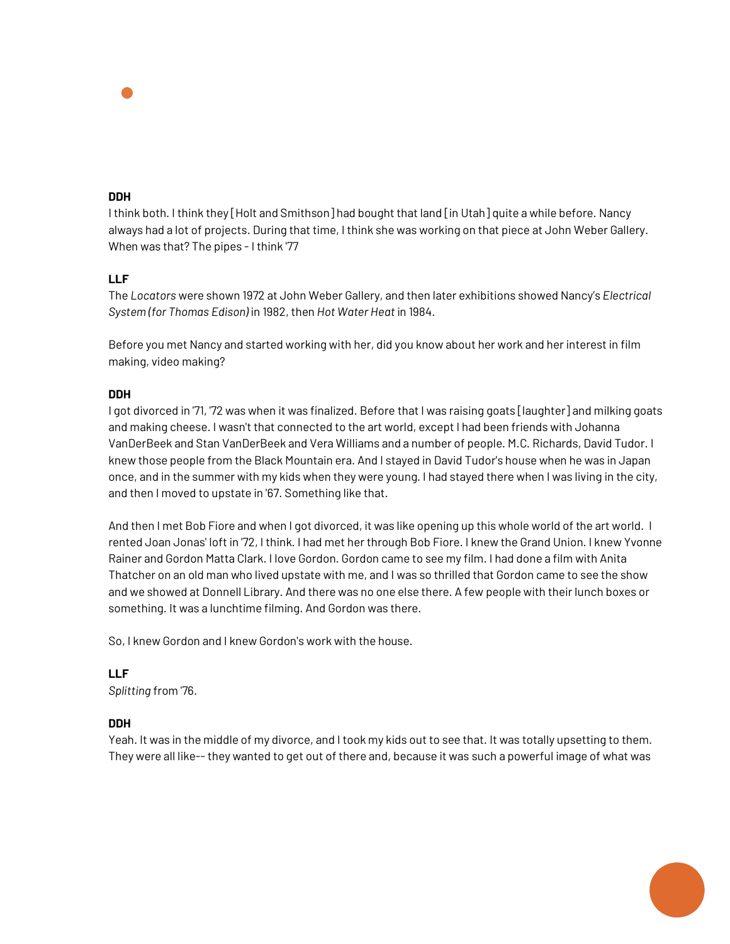I think both. I think they [Holt and Smithson] had bought that land [in Utah] quite a while before. Nancy always had a lot of projects. During that time, I think she was working on that piece at John Weber Gallery. When was that? The pipes - I think '77

## **LLF**

The *Locators* were shown 1972 at John Weber Gallery, and then later exhibitions showed Nancy's *Electrical System (for Thomas Edison)* in 1982, then *Hot Water Heat* in 1984.

Before you met Nancy and started working with her, did you know about her work and her interest in film making, video making?

## **DDH**

I got divorced in '71, '72 was when it was finalized. Before that I was raising goats [laughter] and milking goats and making cheese. I wasn't that connected to the art world, except I had been friends with Johanna VanDerBeek and Stan VanDerBeek and Vera Williams and a number of people. M.C. Richards, David Tudor. I knew those people from the Black Mountain era. And I stayed in David Tudor's house when he was in Japan once, and in the summer with my kids when they were young. I had stayed there when I was living in the city, and then I moved to upstate in '67. Something like that.

And then I met Bob Fiore and when I got divorced, it was like opening up this whole world of the art world. I rented Joan Jonas' loft in '72, I think. I had met her through Bob Fiore. I knew the Grand Union. I knew Yvonne Rainer and Gordon Matta Clark. I love Gordon. Gordon came to see my film. I had done a film with Anita Thatcher on an old man who lived upstate with me, and I was so thrilled that Gordon came to see the show and we showed at Donnell Library. And there was no one else there. A few people with their lunch boxes or something. It was a lunchtime filming. And Gordon was there.

So, I knew Gordon and I knew Gordon's work with the house.

**LLF** *Splitting* from '76.

## **DDH**

Yeah. It was in the middle of my divorce, and I took my kids out to see that. It was totally upsetting to them. They were all like-- they wanted to get out of there and, because it was such a powerful image of what was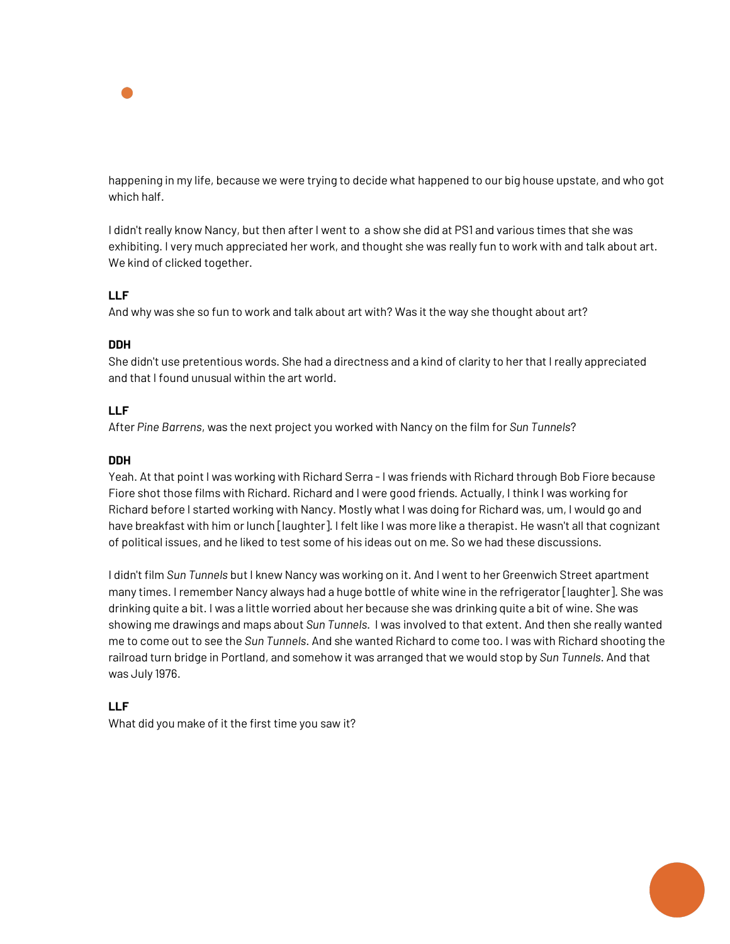

happening in my life, because we were trying to decide what happened to our big house upstate, and who got which half.

I didn't really know Nancy, but then after I went to a show she did at PS1 and various times that she was exhibiting. I very much appreciated her work, and thought she was really fun to work with and talk about art. We kind of clicked together.

## **LLF**

And why was she so fun to work and talk about art with? Was it the way she thought about art?

## **DDH**

She didn't use pretentious words. She had a directness and a kind of clarity to her that I really appreciated and that I found unusual within the art world.

## **LLF**

After *Pine Barrens*, was the next project you worked with Nancy on the film for *Sun Tunnels*?

## **DDH**

Yeah. At that point I was working with Richard Serra - I was friends with Richard through Bob Fiore because Fiore shot those films with Richard. Richard and I were good friends. Actually, I think I was working for Richard before I started working with Nancy. Mostly what I was doing for Richard was, um, I would go and have breakfast with him or lunch [laughter]. I felt like I was more like a therapist. He wasn't all that cognizant of political issues, and he liked to test some of his ideas out on me. So we had these discussions.

I didn't film *Sun Tunnels* but I knew Nancy was working on it. And I went to her Greenwich Street apartment many times. I remember Nancy always had a huge bottle of white wine in the refrigerator [laughter]. She was drinking quite a bit. I was a little worried about her because she was drinking quite a bit of wine. She was showing me drawings and maps about *Sun Tunnels*. I was involved to that extent. And then she really wanted me to come out to see the *Sun Tunnels*. And she wanted Richard to come too. I was with Richard shooting the railroad turn bridge in Portland, and somehow it was arranged that we would stop by *Sun Tunnels*. And that was July 1976.

## **LLF**

What did you make of it the first time you saw it?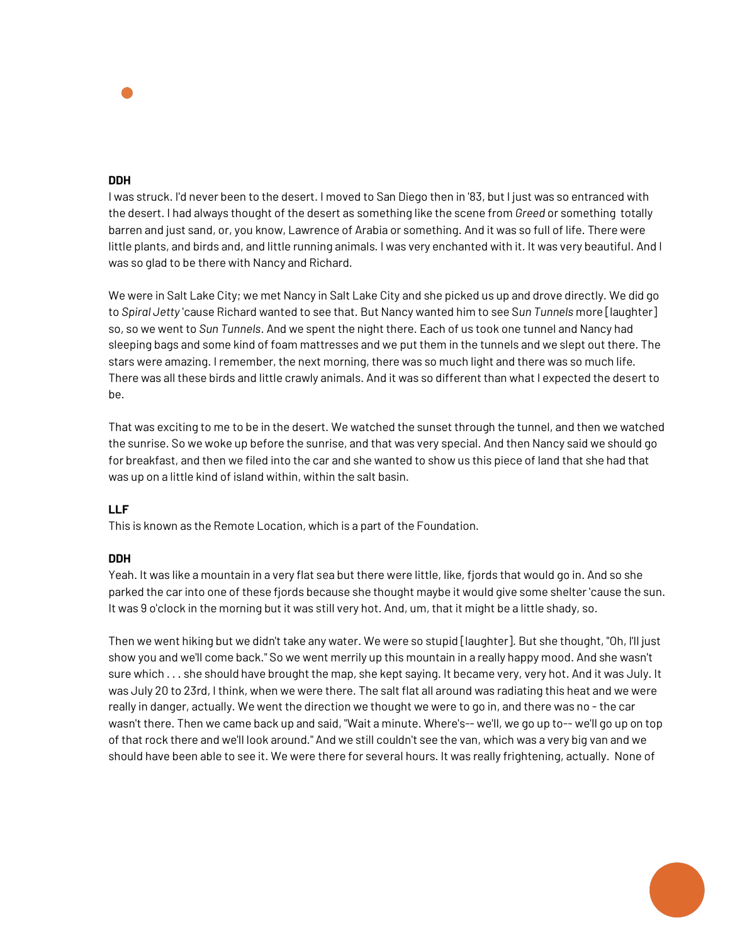

I was struck. I'd never been to the desert. I moved to San Diego then in '83, but I just was so entranced with the desert. I had always thought of the desert as something like the scene from *Greed* or something totally barren and just sand, or, you know, Lawrence of Arabia or something. And it was so full of life. There were little plants, and birds and, and little running animals. I was very enchanted with it. It was very beautiful. And I was so glad to be there with Nancy and Richard.

We were in Salt Lake City; we met Nancy in Salt Lake City and she picked us up and drove directly. We did go to *Spiral Jetty* 'cause Richard wanted to see that. But Nancy wanted him to see S*un Tunnels* more [laughter] so, so we went to *Sun Tunnels*. And we spent the night there. Each of us took one tunnel and Nancy had sleeping bags and some kind of foam mattresses and we put them in the tunnels and we slept out there. The stars were amazing. I remember, the next morning, there was so much light and there was so much life. There was all these birds and little crawly animals. And it was so different than what I expected the desert to be.

That was exciting to me to be in the desert. We watched the sunset through the tunnel, and then we watched the sunrise. So we woke up before the sunrise, and that was very special. And then Nancy said we should go for breakfast, and then we filed into the car and she wanted to show us this piece of land that she had that was up on a little kind of island within, within the salt basin.

#### **LLF**

This is known as the Remote Location, which is a part of the Foundation.

#### **DDH**

Yeah. It was like a mountain in a very flat sea but there were little, like, fjords that would go in. And so she parked the car into one of these fjords because she thought maybe it would give some shelter 'cause the sun. It was 9 o'clock in the morning but it was still very hot. And, um, that it might be a little shady, so.

Then we went hiking but we didn't take any water. We were so stupid [laughter]. But she thought, "Oh, I'll just show you and we'll come back." So we went merrily up this mountain in a really happy mood. And she wasn't sure which . . . she should have brought the map, she kept saying. It became very, very hot. And it was July. It was July 20 to 23rd, I think, when we were there. The salt flat all around was radiating this heat and we were really in danger, actually. We went the direction we thought we were to go in, and there was no - the car wasn't there. Then we came back up and said, "Wait a minute. Where's-- we'll, we go up to-- we'll go up on top of that rock there and we'll look around." And we still couldn't see the van, which was a very big van and we should have been able to see it. We were there for several hours. It was really frightening, actually. None of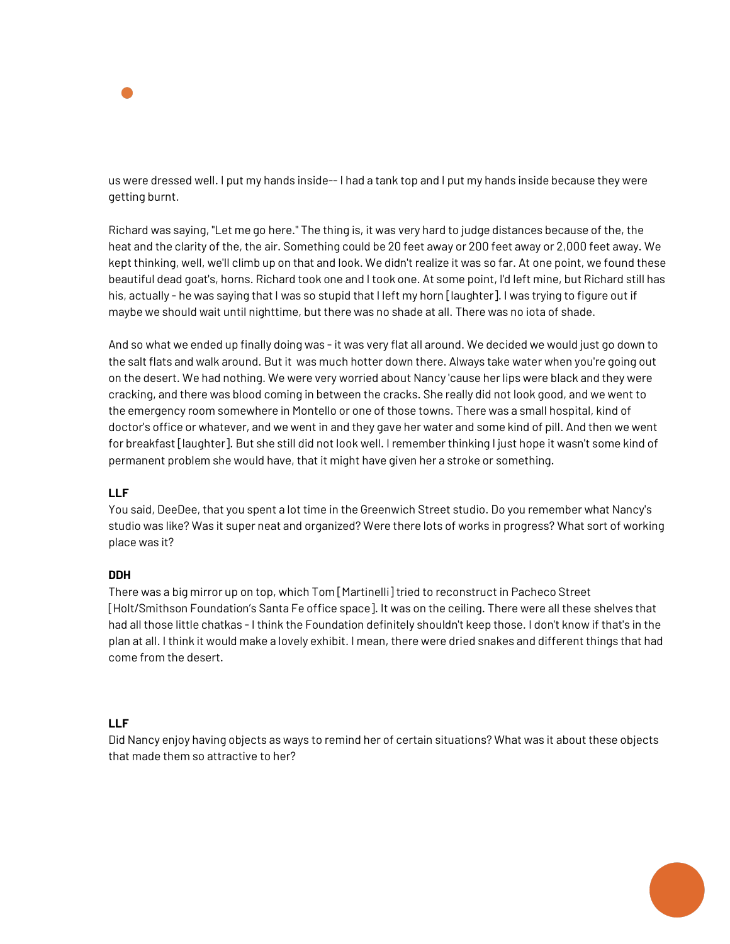

us were dressed well. I put my hands inside-- I had a tank top and I put my hands inside because they were getting burnt.

Richard was saying, "Let me go here." The thing is, it was very hard to judge distances because of the, the heat and the clarity of the, the air. Something could be 20 feet away or 200 feet away or 2,000 feet away. We kept thinking, well, we'll climb up on that and look. We didn't realize it was so far. At one point, we found these beautiful dead goat's, horns. Richard took one and I took one. At some point, I'd left mine, but Richard still has his, actually - he was saying that I was so stupid that I left my horn [laughter]. I was trying to figure out if maybe we should wait until nighttime, but there was no shade at all. There was no iota of shade.

And so what we ended up finally doing was - it was very flat all around. We decided we would just go down to the salt flats and walk around. But it was much hotter down there. Always take water when you're going out on the desert. We had nothing. We were very worried about Nancy 'cause her lips were black and they were cracking, and there was blood coming in between the cracks. She really did not look good, and we went to the emergency room somewhere in Montello or one of those towns. There was a small hospital, kind of doctor's office or whatever, and we went in and they gave her water and some kind of pill. And then we went for breakfast [laughter]. But she still did not look well. I remember thinking I just hope it wasn't some kind of permanent problem she would have, that it might have given her a stroke or something.

## **LLF**

You said, DeeDee, that you spent a lot time in the Greenwich Street studio. Do you remember what Nancy's studio was like? Was it super neat and organized? Were there lots of works in progress? What sort of working place was it?

#### **DDH**

There was a big mirror up on top, which Tom [Martinelli] tried to reconstruct in Pacheco Street [Holt/Smithson Foundation's Santa Fe office space]. It was on the ceiling. There were all these shelves that had all those little chatkas - I think the Foundation definitely shouldn't keep those. I don't know if that's in the plan at all. I think it would make a lovely exhibit. I mean, there were dried snakes and different things that had come from the desert.

## **LLF**

Did Nancy enjoy having objects as ways to remind her of certain situations? What was it about these objects that made them so attractive to her?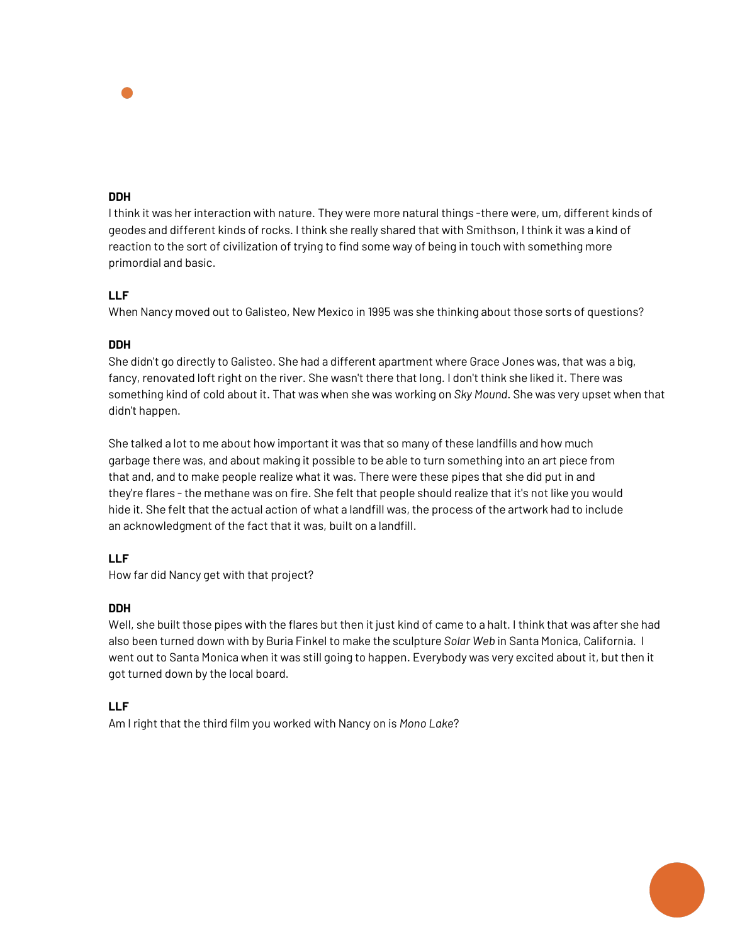I think it was her interaction with nature. They were more natural things -there were, um, different kinds of geodes and different kinds of rocks. I think she really shared that with Smithson, I think it was a kind of reaction to the sort of civilization of trying to find some way of being in touch with something more primordial and basic.

## **LLF**

When Nancy moved out to Galisteo, New Mexico in 1995 was she thinking about those sorts of questions?

## **DDH**

She didn't go directly to Galisteo. She had a different apartment where Grace Jones was, that was a big, fancy, renovated loft right on the river. She wasn't there that long. I don't think she liked it. There was something kind of cold about it. That was when she was working on *Sky Mound*. She was very upset when that didn't happen.

She talked a lot to me about how important it was that so many of these landfills and how much garbage there was, and about making it possible to be able to turn something into an art piece from that and, and to make people realize what it was. There were these pipes that she did put in and they're flares - the methane was on fire. She felt that people should realize that it's not like you would hide it. She felt that the actual action of what a landfill was, the process of the artwork had to include an acknowledgment of the fact that it was, built on a landfill.

## **LLF**

How far did Nancy get with that project?

## **DDH**

Well, she built those pipes with the flares but then it just kind of came to a halt. I think that was after she had also been turned down with by Buria Finkel to make the sculpture *Solar Web* in Santa Monica, California. I went out to Santa Monica when it was still going to happen. Everybody was very excited about it, but then it got turned down by the local board.

## **LLF**

Am I right that the third film you worked with Nancy on is *Mono Lake*?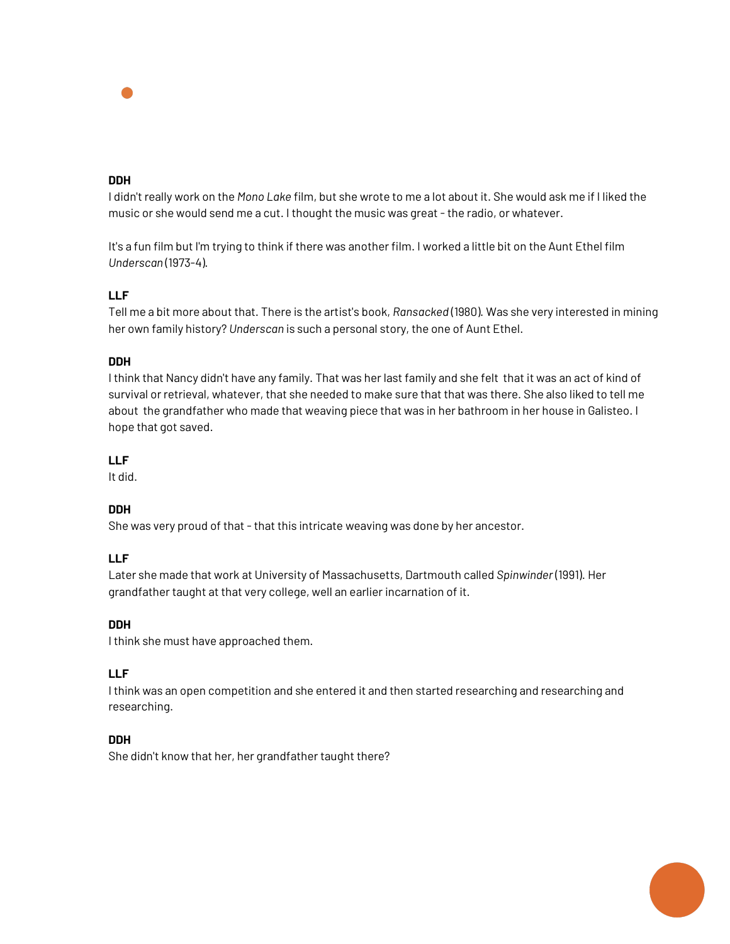I didn't really work on the *Mono Lake* film, but she wrote to me a lot about it. She would ask me if I liked the music or she would send me a cut. I thought the music was great - the radio, or whatever.

It's a fun film but I'm trying to think if there was another film. I worked a little bit on the Aunt Ethel film *Underscan* (1973-4).

## **LLF**

Tell me a bit more about that. There is the artist's book, *Ransacked* (1980). Was she very interested in mining her own family history? *Underscan* is such a personal story, the one of Aunt Ethel.

## **DDH**

I think that Nancy didn't have any family. That was her last family and she felt that it was an act of kind of survival or retrieval, whatever, that she needed to make sure that that was there. She also liked to tell me about the grandfather who made that weaving piece that was in her bathroom in her house in Galisteo. I hope that got saved.

## **LLF**

It did.

## **DDH**

She was very proud of that - that this intricate weaving was done by her ancestor.

#### **LLF**

Later she made that work at University of Massachusetts, Dartmouth called *Spinwinder* (1991). Her grandfather taught at that very college, well an earlier incarnation of it.

#### **DDH**

I think she must have approached them.

## **LLF**

I think was an open competition and she entered it and then started researching and researching and researching.

#### **DDH**

She didn't know that her, her grandfather taught there?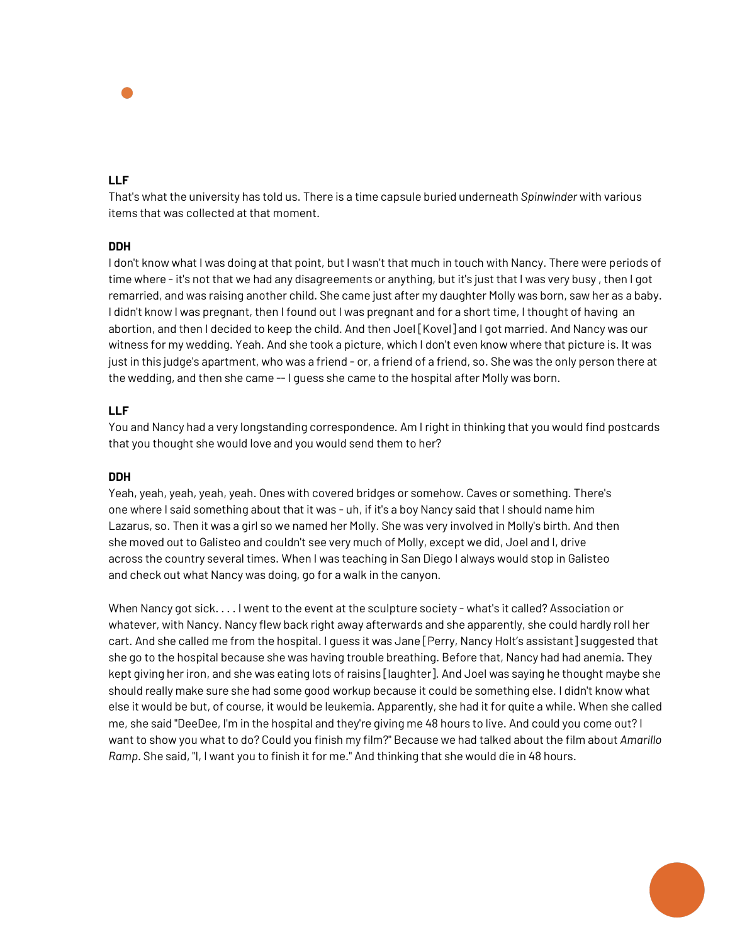## **LLF**

That's what the university has told us. There is a time capsule buried underneath *Spinwinder* with various items that was collected at that moment.

## **DDH**

I don't know what I was doing at that point, but I wasn't that much in touch with Nancy. There were periods of time where - it's not that we had any disagreements or anything, but it's just that I was very busy , then I got remarried, and was raising another child. She came just after my daughter Molly was born, saw her as a baby. I didn't know I was pregnant, then I found out I was pregnant and for a short time, I thought of having an abortion, and then I decided to keep the child. And then Joel [Kovel] and I got married. And Nancy was our witness for my wedding. Yeah. And she took a picture, which I don't even know where that picture is. It was just in this judge's apartment, who was a friend - or, a friend of a friend, so. She was the only person there at the wedding, and then she came -- I guess she came to the hospital after Molly was born.

## **LLF**

You and Nancy had a very longstanding correspondence. Am I right in thinking that you would find postcards that you thought she would love and you would send them to her?

#### **DDH**

Yeah, yeah, yeah, yeah, yeah. Ones with covered bridges or somehow. Caves or something. There's one where I said something about that it was - uh, if it's a boy Nancy said that I should name him Lazarus, so. Then it was a girl so we named her Molly. She was very involved in Molly's birth. And then she moved out to Galisteo and couldn't see very much of Molly, except we did, Joel and I, drive across the country several times. When I was teaching in San Diego I always would stop in Galisteo and check out what Nancy was doing, go for a walk in the canyon.

When Nancy got sick. . . . I went to the event at the sculpture society - what's it called? Association or whatever, with Nancy. Nancy flew back right away afterwards and she apparently, she could hardly roll her cart. And she called me from the hospital. I guess it was Jane [Perry, Nancy Holt's assistant] suggested that she go to the hospital because she was having trouble breathing. Before that, Nancy had had anemia. They kept giving her iron, and she was eating lots of raisins [laughter]. And Joel was saying he thought maybe she should really make sure she had some good workup because it could be something else. I didn't know what else it would be but, of course, it would be leukemia. Apparently, she had it for quite a while. When she called me, she said "DeeDee, I'm in the hospital and they're giving me 48 hours to live. And could you come out? I want to show you what to do? Could you finish my film?" Because we had talked about the film about *Amarillo Ramp*. She said, "I, I want you to finish it for me." And thinking that she would die in 48 hours.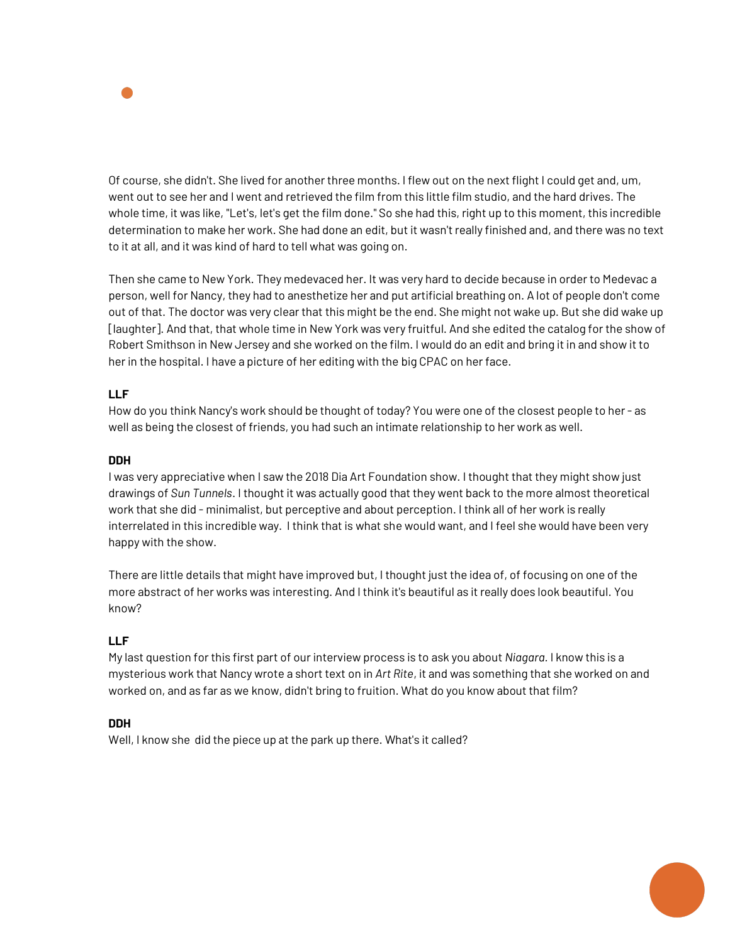

Of course, she didn't. She lived for another three months. I flew out on the next flight I could get and, um, went out to see her and I went and retrieved the film from this little film studio, and the hard drives. The whole time, it was like, "Let's, let's get the film done." So she had this, right up to this moment, this incredible determination to make her work. She had done an edit, but it wasn't really finished and, and there was no text to it at all, and it was kind of hard to tell what was going on.

Then she came to New York. They medevaced her. It was very hard to decide because in order to Medevac a person, well for Nancy, they had to anesthetize her and put artificial breathing on. A lot of people don't come out of that. The doctor was very clear that this might be the end. She might not wake up. But she did wake up [laughter]. And that, that whole time in New York was very fruitful. And she edited the catalog for the show of Robert Smithson in New Jersey and she worked on the film. I would do an edit and bring it in and show it to her in the hospital. I have a picture of her editing with the big CPAC on her face.

## **LLF**

How do you think Nancy's work should be thought of today? You were one of the closest people to her - as well as being the closest of friends, you had such an intimate relationship to her work as well.

## **DDH**

I was very appreciative when I saw the 2018 Dia Art Foundation show. I thought that they might show just drawings of *Sun Tunnels*. I thought it was actually good that they went back to the more almost theoretical work that she did - minimalist, but perceptive and about perception. I think all of her work is really interrelated in this incredible way. I think that is what she would want, and I feel she would have been very happy with the show.

There are little details that might have improved but, I thought just the idea of, of focusing on one of the more abstract of her works was interesting. And I think it's beautiful as it really does look beautiful. You know?

## **LLF**

My last question for this first part of our interview process is to ask you about *Niagara.* I know this is a mysterious work that Nancy wrote a short text on in *Art Rite*, it and was something that she worked on and worked on, and as far as we know, didn't bring to fruition. What do you know about that film?

#### **DDH**

Well, I know she did the piece up at the park up there. What's it called?